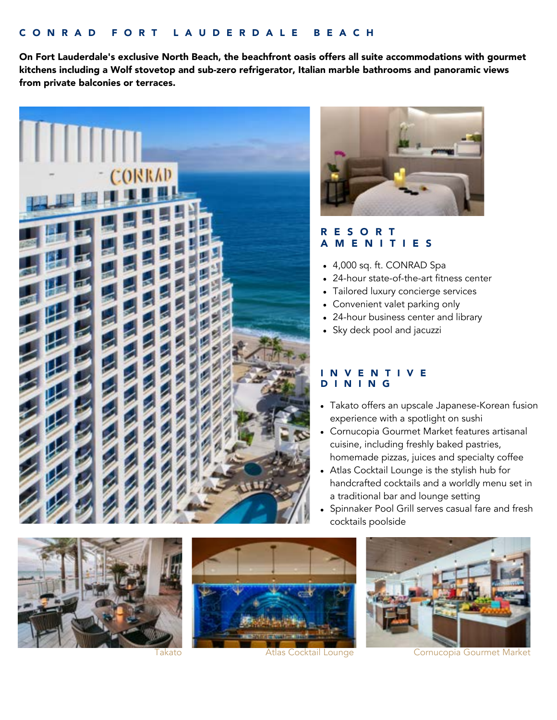On Fort Lauderdale's exclusive North Beach, the beachfront oasis offers all suite accommodations with gourmet kitchens including a Wolf stovetop and sub-zero refrigerator, Italian marble bathrooms and panoramic views from private balconies or terraces.





# R E S O R T A M E N I T I E S

- 4,000 sq. ft. CONRAD Spa
- 24-hour state-of-the-art fitness center
- Tailored luxury concierge services
- Convenient valet parking only
- 24-hour business center and library
- Sky deck pool and jacuzzi

## I N V E N T I V E D I N I N G

- Takato offers an upscale Japanese-Korean fusion experience with a spotlight on sushi
- Cornucopia Gourmet Market features artisanal cuisine, including freshly baked pastries, homemade pizzas, juices and specialty coffee
- Atlas Cocktail Lounge is the stylish hub for handcrafted cocktails and a worldly menu set in a traditional bar and lounge setting
- Spinnaker Pool Grill serves casual fare and fresh cocktails poolside







Takato Atlas Cocktail Lounge Cornucopia Gourmet Market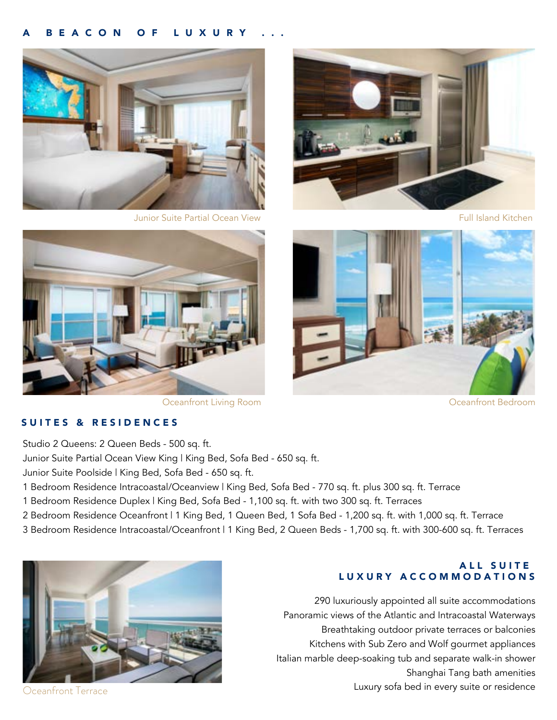## A BEACON OF LUXURY



Junior Suite Partial Ocean View



Full Island Kitchen



Oceanfront Living Room



Oceanfront Bedroom

## SUITES & RESIDENCES

Studio 2 Queens: 2 Queen Beds - 500 sq. ft.

Junior Suite Partial Ocean View King | King Bed, Sofa Bed - 650 sq. ft.

Junior Suite Poolside | King Bed, Sofa Bed - 650 sq. ft.

- 1 Bedroom Residence Intracoastal/Oceanview | King Bed, Sofa Bed 770 sq. ft. plus 300 sq. ft. Terrace
- 1 Bedroom Residence Duplex | King Bed, Sofa Bed 1,100 sq. ft. with two 300 sq. ft. Terraces
- 2 Bedroom Residence Oceanfront | 1 King Bed, 1 Queen Bed, 1 Sofa Bed 1,200 sq. ft. with 1,000 sq. ft. Terrace
- 3 Bedroom Residence Intracoastal/Oceanfront | 1 King Bed, 2 Queen Beds 1,700 sq. ft. with 300-600 sq. ft. Terraces



ALL SUITE LUXURY ACCOMMODATIONS

290 luxuriously appointed all suite accommodations Panoramic views of the Atlantic and Intracoastal Waterways Breathtaking outdoor private terraces or balconies Kitchens with Sub Zero and Wolf gourmet appliances Italian marble deep-soaking tub and separate walk-in shower Shanghai Tang bath amenities Oceanfront Terrace **Luxury sofa bed in every suite or residence**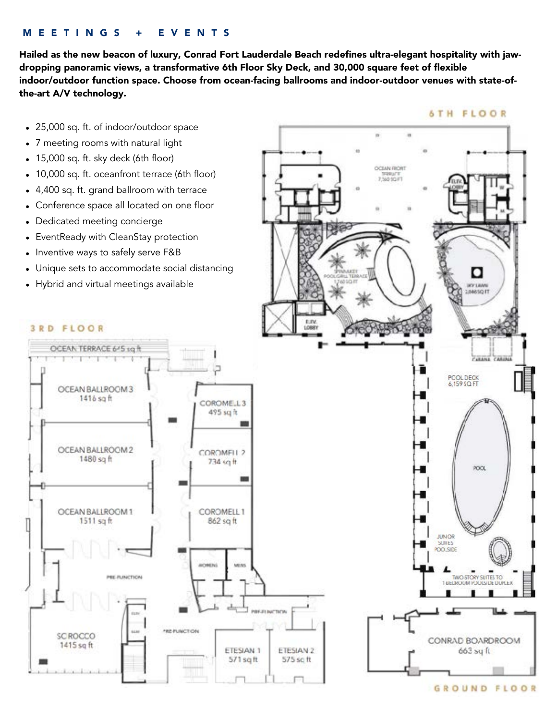#### M E E T I N G S + E V E N T S

Hailed as the new beacon of luxury, Conrad Fort Lauderdale Beach redefines ultra-elegant hospitality with jawdropping panoramic views, a transformative 6th Floor Sky Deck, and 30,000 square feet of flexible indoor/outdoor function space. Choose from ocean-facing ballrooms and indoor-outdoor venues with state-ofthe-art A/V technology.

- 25,000 sq. ft. of indoor/outdoor space
- 7 meeting rooms with natural light  $\bullet$
- 15,000 sq. ft. sky deck (6th floor)
- 10,000 sq. ft. oceanfront terrace (6th floor)  $\bullet$
- 4,400 sq. ft. grand ballroom with terrace
- Conference space all located on one floor
- Dedicated meeting concierge  $\bullet$
- EventReady with CleanStay protection
- Inventive ways to safely serve F&B
- Unique sets to accommodate social distancing  $\bullet$
- Hybrid and virtual meetings available





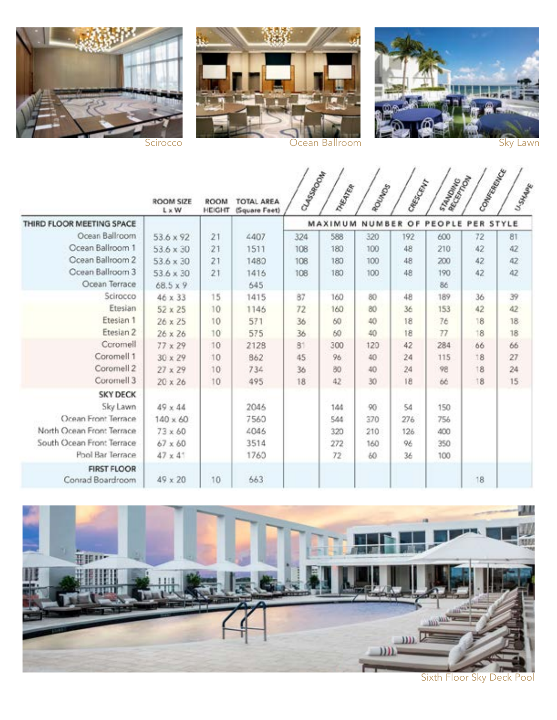





|                                        | ROOM SIZE<br>L x W | ROOM<br><b>HEIGHT</b> | <b>TOTAL AREA</b><br>(Square Feet) | CLASSROOM | MEATER  | ROUMOS | Caecco Cerry | STANDING REG | Connectedor | Usikume |
|----------------------------------------|--------------------|-----------------------|------------------------------------|-----------|---------|--------|--------------|--------------|-------------|---------|
| THIRD FLOOR MEETING SPACE              |                    |                       |                                    |           | MAXIMUM | NUMBER | OF           | PEOPLE       | PER STYLE   |         |
| Ocean Ballroom                         | 53.6 x 92          | 21                    | 4407                               | 324       | 588     | 320    | 192          | 600          | 72          | 81      |
| Ccean Ballroom 1                       | $53.6 \times 30$   | 21                    | 1511                               | 108       | 180     | 100    | 48           | 210          | 42          | 42      |
| Ocean Ballroom 2                       | 53.6 x 30          | 21                    | 1480                               | 108       | 180     | 100    | 48           | 200          | 42          | 42      |
| Ccean Ballroom 3                       | 53.6 x 30          | 21                    | 1416                               | 108       | 180     | 100    | 48           | 190          | 42          | 42      |
| Ocean Terrace                          | $68.5 \times 9$    |                       | 645                                |           |         |        |              | 86           |             |         |
| Scirocco                               | 46 x 33            | 15                    | 1415                               | 87        | 160     | 80     | 48           | 189          | 36          | 39      |
| Etesian                                | 52 x 25            | 10                    | 1145                               | 72        | 160     | 80     | 36           | 153          | 42          | 42      |
| Etesian 1                              | 26 x 25            | 10                    | 571                                | 36        | 60      | 40     | 18           | 76           | 18          | 18      |
| Etesian 2                              | 26 x 26            | 10                    | 575                                | 36        | 60      | 40     | 18           | 77           | 18          | 18      |
| Coromell                               | $77 \times 29$     | 10                    | 2128                               | 81        | 300     | 120    | 42           | 284          | 66          | 66      |
| Coromell 1                             | 30 x 29            | 10                    | 862                                | 45        | 96      | 40     | 24           | 115          | 18          | 27      |
| Coromell <sub>2</sub>                  | $27 \times 29$     | 10                    | 734                                | 36        | 80      | 40     | 24           | 98           | 18          | 24      |
| Coromell 3                             | 20 x 26            | 10                    | 495                                | 18        | 42      | 30     | 18           | 66           | 18          | 15      |
| <b>SKY DECK</b>                        |                    |                       |                                    |           |         |        |              |              |             |         |
| Sky Lawn                               | $49 \times 44$     |                       | 2046                               |           | 144     | 90     | 54           | 150          |             |         |
| Ocean Front Terrace                    | $140 \times 60$    |                       | 7560                               |           | 544     | 370    | 276          | 756          |             |         |
| North Ocean Front Terrace              | $73 \times 60$     |                       | 4046                               |           | 320     | 210    | 126          | 400          |             |         |
| South Ocean Front Terrace              | $67 \times 60$     |                       | 3514                               |           | 272     | 160    | 96           | 350          |             |         |
| Pool Bar Terrace                       | 47 × 41            |                       | 1760                               |           | 72      | 60     | 36           | 100          |             |         |
| <b>FIRST FLOOR</b><br>Conrad Boardroom | $49 \times 20$     | 10                    | 663                                |           |         |        |              |              | 18          |         |



Sixth Floor Sky Deck Pool